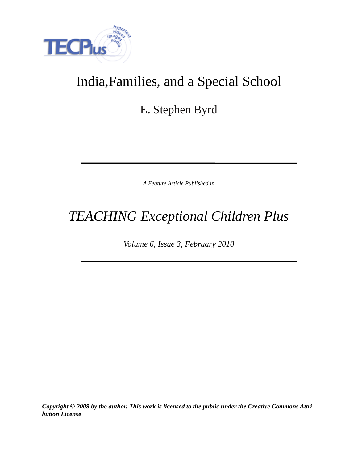

# India,Families, and a Special School

E. Stephen Byrd

*A Feature Article Published in*

# *TEACHING Exceptional Children Plus*

*Volume 6, Issue 3, February 2010*

*Copyright © 2009 by the author. This work is licensed to the public under the Creative Commons Attribution License*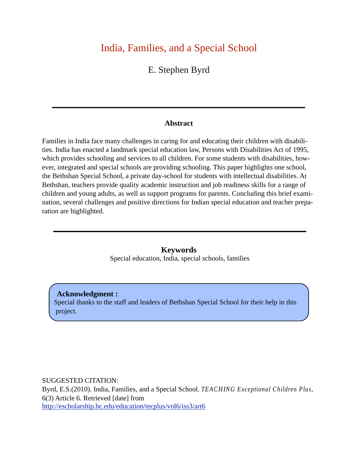# India, Families, and a Special School

E. Stephen Byrd

#### **Abstract**

Families in India face many challenges in caring for and educating their children with disabilities. India has enacted a landmark special education law, Persons with Disabilities Act of 1995, which provides schooling and services to all children. For some students with disabilities, however, integrated and special schools are providing schooling. This paper highlights one school, the Bethshan Special School, a private day-school for students with intellectual disabilities. At Bethshan, teachers provide quality academic instruction and job readiness skills for a range of children and young adults, as well as support programs for parents. Concluding this brief examination, several challenges and positive directions for Indian special education and teacher preparation are highlighted.

> **Keywords** Special education, India, special schools, families

**Acknowledgment :** Special thanks to the staff and leaders of Bethshan Special School for their help in this project.

SUGGESTED CITATION:

Byrd, E.S.(2010). India, Families, and a Special School. *TEACHING Exceptional Children Plus,* 6(3) Article 6. Retrieved [date] from <http://escholarship.bc.edu/education/tecplus/vol6/iss3/art6>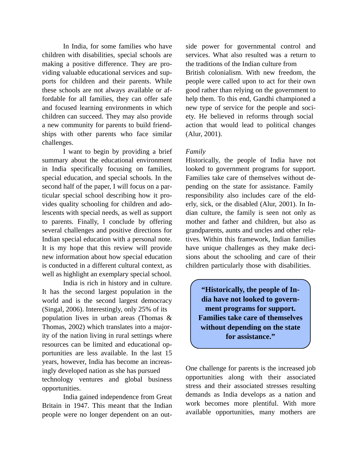In India, for some families who have children with disabilities, special schools are making a positive difference. They are providing valuable educational services and supports for children and their parents. While these schools are not always available or affordable for all families, they can offer safe and focused learning environments in which children can succeed. They may also provide a new community for parents to build friendships with other parents who face similar challenges.

 I want to begin by providing a brief summary about the educational environment in India specifically focusing on families, special education, and special schools. In the second half of the paper, I will focus on a particular special school describing how it provides quality schooling for children and adolescents with special needs, as well as support to parents. Finally, I conclude by offering several challenges and positive directions for Indian special education with a personal note. It is my hope that this review will provide new information about how special education is conducted in a different cultural context, as well as highlight an exemplary special school.

 India is rich in history and in culture. It has the second largest population in the world and is the second largest democracy (Singal, 2006). Interestingly, only 25% of its population lives in urban areas (Thomas & Thomas, 2002) which translates into a majority of the nation living in rural settings where resources can be limited and educational opportunities are less available. In the last 15 years, however, India has become an increasingly developed nation as she has pursued technology ventures and global business opportunities.

 India gained independence from Great Britain in 1947. This meant that the Indian people were no longer dependent on an out-

side power for governmental control and services. What also resulted was a return to the traditions of the Indian culture from British colonialism. With new freedom, the people were called upon to act for their own good rather than relying on the government to help them. To this end, Gandhi championed a new type of service for the people and society. He believed in reforms through social action that would lead to political changes (Alur, 2001).

#### *Family*

Historically, the people of India have not looked to government programs for support. Families take care of themselves without depending on the state for assistance. Family responsibility also includes care of the elderly, sick, or the disabled (Alur, 2001). In Indian culture, the family is seen not only as mother and father and children, but also as grandparents, aunts and uncles and other relatives. Within this framework, Indian families have unique challenges as they make decisions about the schooling and care of their children particularly those with disabilities.

**"Historically, the people of India have not looked to government programs for support. Families take care of themselves without depending on the state for assistance."**

One challenge for parents is the increased job opportunities along with their associated stress and their associated stresses resulting demands as India develops as a nation and work becomes more plentiful. With more available opportunities, many mothers are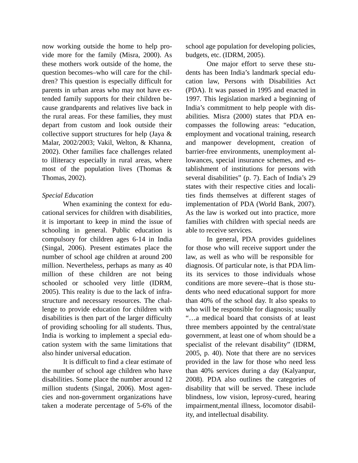now working outside the home to help provide more for the family (Misra, 2000). As these mothers work outside of the home, the question becomes–who will care for the children? This question is especially difficult for parents in urban areas who may not have extended family supports for their children because grandparents and relatives live back in the rural areas. For these families, they must depart from custom and look outside their collective support structures for help (Jaya & Malar, 2002/2003; Vakil, Welton, & Khanna, 2002). Other families face challenges related to illiteracy especially in rural areas, where most of the population lives (Thomas & Thomas, 2002).

#### *Special Education*

 When examining the context for educational services for children with disabilities, it is important to keep in mind the issue of schooling in general. Public education is compulsory for children ages 6-14 in India (Singal, 2006). Present estimates place the number of school age children at around 200 million. Nevertheless, perhaps as many as 40 million of these children are not being schooled or schooled very little (IDRM, 2005). This reality is due to the lack of infrastructure and necessary resources. The challenge to provide education for children with disabilities is then part of the larger difficulty of providing schooling for all students. Thus, India is working to implement a special education system with the same limitations that also hinder universal education.

 It is difficult to find a clear estimate of the number of school age children who have disabilities. Some place the number around 12 million students (Singal, 2006). Most agencies and non-government organizations have taken a moderate percentage of 5-6% of the

school age population for developing policies, budgets, etc. (IDRM, 2005).

 One major effort to serve these students has been India's landmark special education law, Persons with Disabilities Act (PDA). It was passed in 1995 and enacted in 1997. This legislation marked a beginning of India's commitment to help people with disabilities. Misra (2000) states that PDA encompasses the following areas: "education, employment and vocational training, research and manpower development, creation of barrier-free environments, unemployment allowances, special insurance schemes, and establishment of institutions for persons with several disabilities" (p. 7). Each of India's 29 states with their respective cities and localities finds themselves at different stages of implementation of PDA (World Bank, 2007). As the law is worked out into practice, more families with children with special needs are able to receive services.

 In general, PDA provides guidelines for those who will receive support under the law, as well as who will be responsible for diagnosis. Of particular note, is that PDA limits its services to those individuals whose conditions are more severe--that is those students who need educational support for more than 40% of the school day. It also speaks to who will be responsible for diagnosis; usually "…a medical board that consists of at least three members appointed by the central/state government, at least one of whom should be a specialist of the relevant disability" (IDRM, 2005, p. 40). Note that there are no services provided in the law for those who need less than 40% services during a day (Kalyanpur, 2008). PDA also outlines the categories of disability that will be served. These include blindness, low vision, leprosy-cured, hearing impairment,mental illness, locomotor disability, and intellectual disability.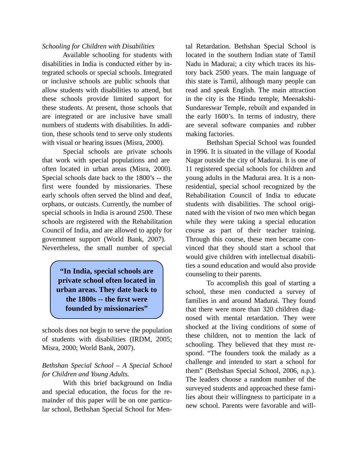### *Schooling for Children with Disabilities*

 Available schooling for students with disabilities in India is conducted either by integrated schools or special schools. Integrated or inclusive schools are public schools that allow students with disabilities to attend, but these schools provide limited support for these students. At present, those schools that are integrated or are inclusive have small numbers of students with disabilities. In addition, these schools tend to serve only students with visual or hearing issues (Misra, 2000).

 Special schools are private schools that work with special populations and are often located in urban areas (Misra, 2000). Special schools date back to the 1800's -- the first were founded by missionaries. These early schools often served the blind and deaf, orphans, or outcasts. Currently, the number of special schools in India is around 2500. These schools are registered with the Rehabilitation Council of India, and are allowed to apply for government support (World Bank, 2007). Nevertheless, the small number of special

> **"In India, special schools are private school often located in urban areas. They date back to the 1800s -- the first were founded by missionaries"**

schools does not begin to serve the population of students with disabilities (IRDM, 2005; Misra, 2000; World Bank, 2007).

### *Bethshan Special School – A Special School for Children and Young Adults.*

 With this brief background on India and special education, the focus for the remainder of this paper will be on one particular school, Bethshan Special School for Men-

tal Retardation. Bethshan Special School is located in the southern Indian state of Tamil Nadu in Madurai; a city which traces its history back 2500 years. The main language of this state is Tamil, although many people can read and speak English. The main attraction in the city is the Hindu temple, Meenakshi-Sundareswar Temple, rebuilt and expanded in the early 1600's. In terms of industry, there are several software companies and rubber making factories.

 Bethshan Special School was founded in 1996. It is situated in the village of Koodal Nagar outside the city of Madurai. It is one of 11 registered special schools for children and young adults in the Madurai area. It is a nonresidential, special school recognized by the Rehabilitation Council of India to educate students with disabilities. The school originated with the vision of two men which began while they were taking a special education course as part of their teacher training. Through this course, these men became convinced that they should start a school that would give children with intellectual disabilities a sound education and would also provide counseling to their parents.

 To accomplish this goal of starting a school, these men conducted a survey of families in and around Madurai. They found that there were more than 320 children diagnosed with mental retardation. They were shocked at the living conditions of some of these children, not to mention the lack of schooling. They believed that they must respond. "The founders took the malady as a challenge and intended to start a school for them" (Bethshan Special School, 2006, n.p.). The leaders choose a random number of the surveyed students and approached these families about their willingness to participate in a new school. Parents were favorable and will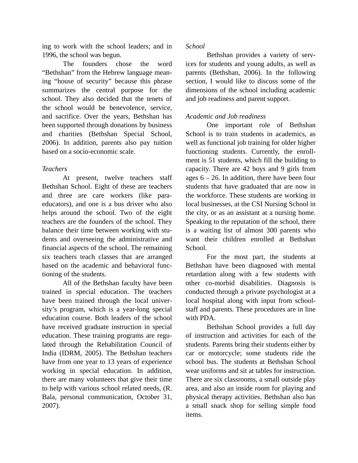ing to work with the school leaders; and in 1996, the school was begun.

 The founders chose the word "Bethshan" from the Hebrew language meaning "house of security" because this phrase summarizes the central purpose for the school. They also decided that the tenets of the school would be benevolence, service, and sacrifice. Over the years, Bethshan has been supported through donations by business and charities (Bethshan Special School, 2006). In addition, parents also pay tuition based on a socio-economic scale.

### *Teachers*

 At present, twelve teachers staff Bethshan School. Eight of these are teachers and three are care workers (like paraeducators), and one is a bus driver who also helps around the school. Two of the eight teachers are the founders of the school. They balance their time between working with students and overseeing the administrative and financial aspects of the school. The remaining six teachers teach classes that are arranged based on the academic and behavioral functioning of the students.

 All of the Bethshan faculty have been trained in special education. The teachers have been trained through the local university's program, which is a year-long special education course. Both leaders of the school have received graduate instruction in special education. These training programs are regulated through the Rehabilitation Council of India (IDRM, 2005). The Bethshan teachers have from one year to 13 years of experience working in special education. In addition, there are many volunteers that give their time to help with various school related needs, (R. Bala, personal communication, October 31, 2007).

# *School*

 Bethshan provides a variety of services for students and young adults, as well as parents (Bethshan, 2006). In the following section, I would like to discuss some of the dimensions of the school including academic and job readiness and parent support.

# *Academic and Job readiness*

 One important role of Bethshan School is to train students in academics, as well as functional job training for older higher functioning students. Currently, the enrollment is 51 students, which fill the building to capacity. There are 42 boys and 9 girls from ages  $6 - 26$ . In addition, there have been four students that have graduated that are now in the workforce. These students are working in local businesses, at the CSI Nursing School in the city, or as an assistant at a nursing home. Speaking to the reputation of the school, there is a waiting list of almost 300 parents who want their children enrolled at Bethshan School.

 For the most part, the students at Bethshan have been diagnosed with mental retardation along with a few students with other co-morbid disabilities. Diagnosis is conducted through a private psychologist at a local hospital along with input from schoolstaff and parents. These procedures are in line with PDA.

 Bethshan School provides a full day of instruction and activities for each of the students. Parents bring their students either by car or motorcycle; some students ride the school bus. The students at Bethshan School wear uniforms and sit at tables for instruction. There are six classrooms, a small outside play area, and also an inside room for playing and physical therapy activities. Bethshan also has a small snack shop for selling simple food items.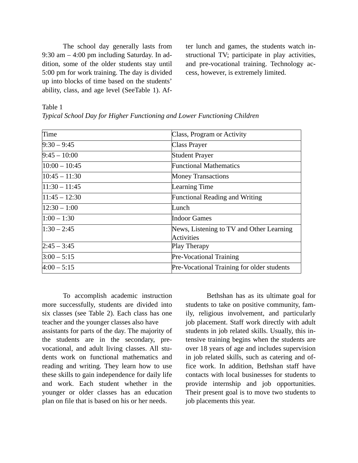The school day generally lasts from 9:30 am – 4:00 pm including Saturday. In addition, some of the older students stay until 5:00 pm for work training. The day is divided up into blocks of time based on the students' ability, class, and age level (SeeTable 1). After lunch and games, the students watch instructional TV; participate in play activities, and pre-vocational training. Technology access, however, is extremely limited.

#### Table 1

| Time            | Class, Program or Activity                             |  |
|-----------------|--------------------------------------------------------|--|
| $9:30 - 9:45$   | Class Prayer                                           |  |
| $9:45 - 10:00$  | <b>Student Prayer</b>                                  |  |
| $10:00 - 10:45$ | <b>Functional Mathematics</b>                          |  |
| $10:45 - 11:30$ | <b>Money Transactions</b>                              |  |
| $11:30 - 11:45$ | Learning Time                                          |  |
| $11:45 - 12:30$ | <b>Functional Reading and Writing</b>                  |  |
| $12:30 - 1:00$  | Lunch                                                  |  |
| $1:00 - 1:30$   | <b>Indoor Games</b>                                    |  |
| $1:30 - 2:45$   | News, Listening to TV and Other Learning<br>Activities |  |
| $2:45 - 3:45$   | Play Therapy                                           |  |
| $3:00 - 5:15$   | <b>Pre-Vocational Training</b>                         |  |
| $4:00 - 5:15$   | Pre-Vocational Training for older students             |  |

 To accomplish academic instruction more successfully, students are divided into six classes (see Table 2). Each class has one teacher and the younger classes also have assistants for parts of the day. The majority of the students are in the secondary, prevocational, and adult living classes. All students work on functional mathematics and reading and writing. They learn how to use these skills to gain independence for daily life and work. Each student whether in the younger or older classes has an education plan on file that is based on his or her needs.

 Bethshan has as its ultimate goal for students to take on positive community, family, religious involvement, and particularly job placement. Staff work directly with adult students in job related skills. Usually, this intensive training begins when the students are over 18 years of age and includes supervision in job related skills, such as catering and office work. In addition, Bethshan staff have contacts with local businesses for students to provide internship and job opportunities. Their present goal is to move two students to job placements this year.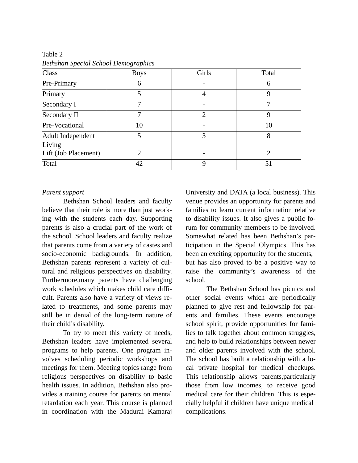| <b>Class</b>         | <b>Boys</b> | Girls                       | Total |
|----------------------|-------------|-----------------------------|-------|
| Pre-Primary          | 6           |                             | 6     |
| Primary              | 5           | $\overline{A}$              | 9     |
| Secondary I          | 7           |                             |       |
| Secondary II         |             | $\mathcal{D}_{\mathcal{L}}$ | Q     |
| Pre-Vocational       | 10          |                             | 10    |
| Adult Independent    | 5           | 3                           | 8     |
| Living               |             |                             |       |
| Lift (Job Placement) | 2           |                             | 2     |
| Total                | 42          | 9                           | 51    |

Table 2 *Bethshan Special School Demographics*

#### *Parent support*

 Bethshan School leaders and faculty believe that their role is more than just working with the students each day. Supporting parents is also a crucial part of the work of the school. School leaders and faculty realize that parents come from a variety of castes and socio-economic backgrounds. In addition, Bethshan parents represent a variety of cultural and religious perspectives on disability. Furthermore,many parents have challenging work schedules which makes child care difficult. Parents also have a variety of views related to treatments, and some parents may still be in denial of the long-term nature of their child's disability.

 To try to meet this variety of needs, Bethshan leaders have implemented several programs to help parents. One program involves scheduling periodic workshops and meetings for them. Meeting topics range from religious perspectives on disability to basic health issues. In addition, Bethshan also provides a training course for parents on mental retardation each year. This course is planned in coordination with the Madurai Kamaraj

University and DATA (a local business). This venue provides an opportunity for parents and families to learn current information relative to disability issues. It also gives a public forum for community members to be involved. Somewhat related has been Bethshan's participation in the Special Olympics. This has been an exciting opportunity for the students, but has also proved to be a positive way to raise the community's awareness of the school.

 The Bethshan School has picnics and other social events which are periodically planned to give rest and fellowship for parents and families. These events encourage school spirit, provide opportunities for families to talk together about common struggles, and help to build relationships between newer and older parents involved with the school. The school has built a relationship with a local private hospital for medical checkups. This relationship allows parents,particularly those from low incomes, to receive good medical care for their children. This is especially helpful if children have unique medical complications.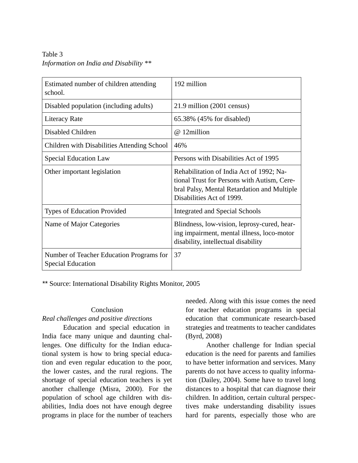Table 3 *Information on India and Disability \*\**

| Estimated number of children attending<br>school.                    | 192 million                                                                                                                                                         |
|----------------------------------------------------------------------|---------------------------------------------------------------------------------------------------------------------------------------------------------------------|
| Disabled population (including adults)                               | 21.9 million (2001 census)                                                                                                                                          |
| <b>Literacy Rate</b>                                                 | 65.38% (45% for disabled)                                                                                                                                           |
| Disabled Children                                                    | @ 12million                                                                                                                                                         |
| Children with Disabilities Attending School                          | 46%                                                                                                                                                                 |
| <b>Special Education Law</b>                                         | Persons with Disabilities Act of 1995                                                                                                                               |
| Other important legislation                                          | Rehabilitation of India Act of 1992; Na-<br>tional Trust for Persons with Autism, Cere-<br>bral Palsy, Mental Retardation and Multiple<br>Disabilities Act of 1999. |
| <b>Types of Education Provided</b>                                   | Integrated and Special Schools                                                                                                                                      |
| Name of Major Categories                                             | Blindness, low-vision, leprosy-cured, hear-<br>ing impairment, mental illness, loco-motor<br>disability, intellectual disability                                    |
| Number of Teacher Education Programs for<br><b>Special Education</b> | 37                                                                                                                                                                  |

*\*\** Source: International Disability Rights Monitor, 2005

#### **Conclusion**

# *Real challenges and positive directions*

 Education and special education in India face many unique and daunting challenges. One difficulty for the Indian educational system is how to bring special education and even regular education to the poor, the lower castes, and the rural regions. The shortage of special education teachers is yet another challenge (Misra, 2000). For the population of school age children with disabilities, India does not have enough degree programs in place for the number of teachers

needed. Along with this issue comes the need for teacher education programs in special education that communicate research-based strategies and treatments to teacher candidates (Byrd, 2008)

 Another challenge for Indian special education is the need for parents and families to have better information and services. Many parents do not have access to quality information (Dailey, 2004). Some have to travel long distances to a hospital that can diagnose their children. In addition, certain cultural perspectives make understanding disability issues hard for parents, especially those who are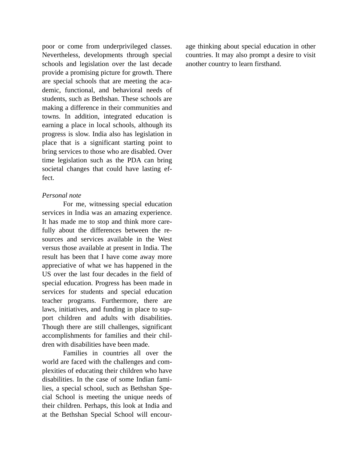poor or come from underprivileged classes. Nevertheless, developments through special schools and legislation over the last decade provide a promising picture for growth. There are special schools that are meeting the academic, functional, and behavioral needs of students, such as Bethshan. These schools are making a difference in their communities and towns. In addition, integrated education is earning a place in local schools, although its progress is slow. India also has legislation in place that is a significant starting point to bring services to those who are disabled. Over time legislation such as the PDA can bring societal changes that could have lasting effect.

#### *Personal note*

 For me, witnessing special education services in India was an amazing experience. It has made me to stop and think more carefully about the differences between the resources and services available in the West versus those available at present in India. The result has been that I have come away more appreciative of what we has happened in the US over the last four decades in the field of special education. Progress has been made in services for students and special education teacher programs. Furthermore, there are laws, initiatives, and funding in place to support children and adults with disabilities. Though there are still challenges, significant accomplishments for families and their children with disabilities have been made.

 Families in countries all over the world are faced with the challenges and complexities of educating their children who have disabilities. In the case of some Indian families, a special school, such as Bethshan Special School is meeting the unique needs of their children. Perhaps, this look at India and at the Bethshan Special School will encour-

age thinking about special education in other countries. It may also prompt a desire to visit another country to learn firsthand.